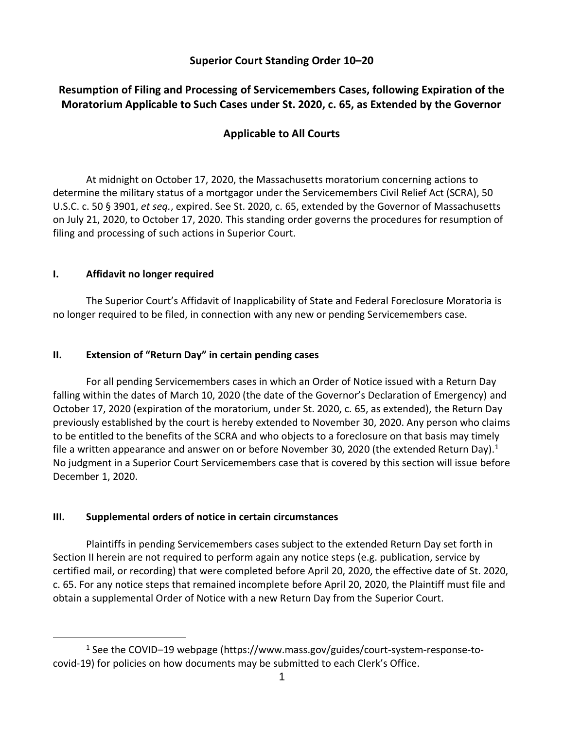### **Superior Court Standing Order 10–20**

# **Resumption of Filing and Processing of Servicemembers Cases, following Expiration of the Moratorium Applicable to Such Cases under St. 2020, c. 65, as Extended by the Governor**

## **Applicable to All Courts**

At midnight on October 17, 2020, the Massachusetts moratorium concerning actions to determine the military status of a mortgagor under the Servicemembers Civil Relief Act (SCRA), 50 U.S.C. c. 50 § 3901, *et seq.*, expired. See St. 2020, c. 65, extended by the Governor of Massachusetts on July 21, 2020, to October 17, 2020. This standing order governs the procedures for resumption of filing and processing of such actions in Superior Court.

#### **I. Affidavit no longer required**

The Superior Court's Affidavit of Inapplicability of State and Federal Foreclosure Moratoria is no longer required to be filed, in connection with any new or pending Servicemembers case.

#### **II. Extension of "Return Day" in certain pending cases**

For all pending Servicemembers cases in which an Order of Notice issued with a Return Day falling within the dates of March 10, 2020 (the date of the Governor's Declaration of Emergency) and October 17, 2020 (expiration of the moratorium, under St. 2020, c. 65, as extended), the Return Day previously established by the court is hereby extended to November 30, 2020. Any person who claims to be entitled to the benefits of the SCRA and who objects to a foreclosure on that basis may timely file a written appearance and answer on or before November 30, 2020 (the extended Return Day).<sup>1</sup> No judgment in a Superior Court Servicemembers case that is covered by this section will issue before December 1, 2020.

### **III. Supplemental orders of notice in certain circumstances**

Plaintiffs in pending Servicemembers cases subject to the extended Return Day set forth in Section II herein are not required to perform again any notice steps (e.g. publication, service by certified mail, or recording) that were completed before April 20, 2020, the effective date of St. 2020, c. 65. For any notice steps that remained incomplete before April 20, 2020, the Plaintiff must file and obtain a supplemental Order of Notice with a new Return Day from the Superior Court.

<sup>1</sup> See the COVID–19 webpage (https://www.mass.gov/guides/court-system-response-tocovid-19) for policies on how documents may be submitted to each Clerk's Office.